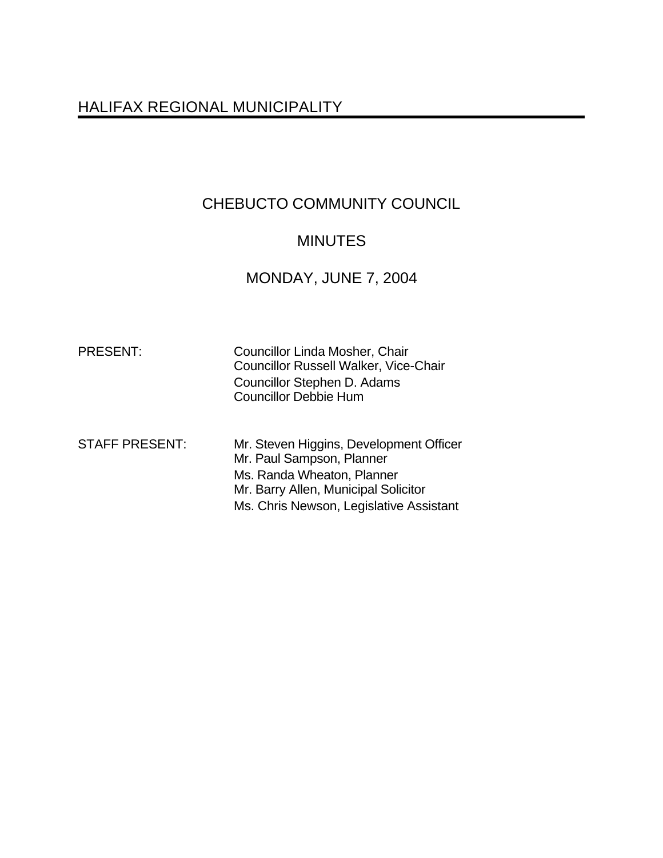# HALIFAX REGIONAL MUNICIPALITY

# CHEBUCTO COMMUNITY COUNCIL

# MINUTES

# MONDAY, JUNE 7, 2004

| <b>PRESENT:</b>       | Councillor Linda Mosher, Chair<br><b>Councillor Russell Walker, Vice-Chair</b><br>Councillor Stephen D. Adams<br><b>Councillor Debbie Hum</b>                                         |
|-----------------------|---------------------------------------------------------------------------------------------------------------------------------------------------------------------------------------|
| <b>STAFF PRESENT:</b> | Mr. Steven Higgins, Development Officer<br>Mr. Paul Sampson, Planner<br>Ms. Randa Wheaton, Planner<br>Mr. Barry Allen, Municipal Solicitor<br>Ms. Chris Newson, Legislative Assistant |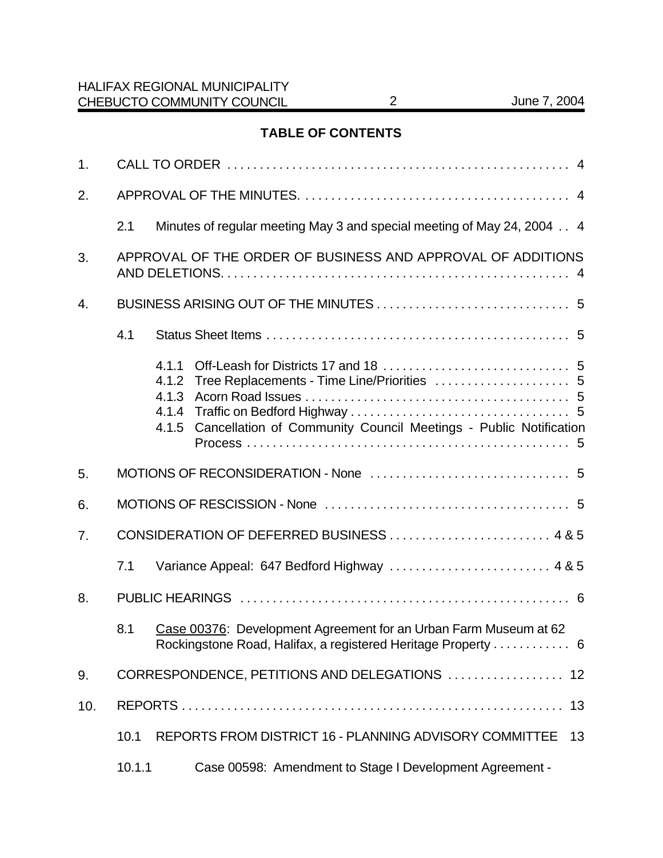## **TABLE OF CONTENTS**

| 1.  |                                                             |                                                                                                                                                              |    |  |  |
|-----|-------------------------------------------------------------|--------------------------------------------------------------------------------------------------------------------------------------------------------------|----|--|--|
| 2.  |                                                             |                                                                                                                                                              |    |  |  |
|     | 2.1                                                         | Minutes of regular meeting May 3 and special meeting of May 24, 2004 4                                                                                       |    |  |  |
| 3.  | APPROVAL OF THE ORDER OF BUSINESS AND APPROVAL OF ADDITIONS |                                                                                                                                                              |    |  |  |
| 4.  |                                                             |                                                                                                                                                              |    |  |  |
|     | 4.1                                                         |                                                                                                                                                              |    |  |  |
|     |                                                             | 4.1.1<br>Tree Replacements - Time Line/Priorities  5<br>4.1.2<br>4.1.3<br>4.1.4<br>Cancellation of Community Council Meetings - Public Notification<br>4.1.5 |    |  |  |
| 5.  |                                                             |                                                                                                                                                              |    |  |  |
| 6.  |                                                             |                                                                                                                                                              |    |  |  |
| 7.  | CONSIDERATION OF DEFERRED BUSINESS  4 & 5                   |                                                                                                                                                              |    |  |  |
|     | 7.1                                                         | Variance Appeal: 647 Bedford Highway  4 & 5                                                                                                                  |    |  |  |
| 8.  |                                                             |                                                                                                                                                              |    |  |  |
|     | 8.1                                                         | Case 00376: Development Agreement for an Urban Farm Museum at 62<br>Rockingstone Road, Halifax, a registered Heritage Property  6                            |    |  |  |
| 9.  | CORRESPONDENCE, PETITIONS AND DELEGATIONS<br>12             |                                                                                                                                                              |    |  |  |
| 10. |                                                             |                                                                                                                                                              | 13 |  |  |
|     | 10.1                                                        | REPORTS FROM DISTRICT 16 - PLANNING ADVISORY COMMITTEE                                                                                                       | 13 |  |  |
|     | 10.1.1                                                      | Case 00598: Amendment to Stage I Development Agreement -                                                                                                     |    |  |  |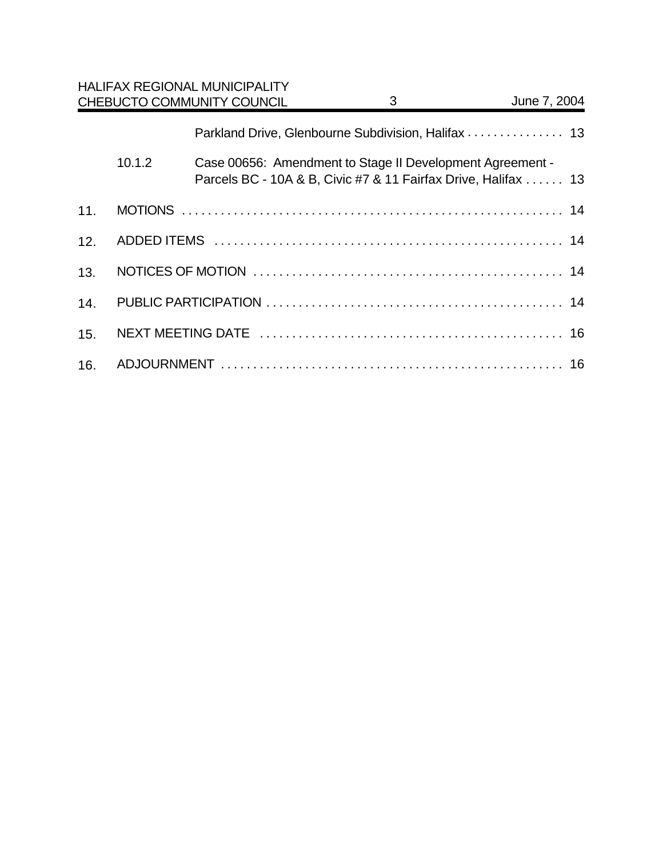|     |        | <b>HALIFAX REGIONAL MUNICIPALITY</b><br>CHEBUCTO COMMUNITY COUNCIL                                                          | 3 | June 7, 2004 |
|-----|--------|-----------------------------------------------------------------------------------------------------------------------------|---|--------------|
|     |        | Parkland Drive, Glenbourne Subdivision, Halifax  13                                                                         |   |              |
|     | 10.1.2 | Case 00656: Amendment to Stage II Development Agreement -<br>Parcels BC - 10A & B, Civic #7 & 11 Fairfax Drive, Halifax  13 |   |              |
| 11. |        |                                                                                                                             |   |              |
| 12. |        |                                                                                                                             |   |              |
| 13. |        |                                                                                                                             |   |              |
| 14. |        |                                                                                                                             |   |              |
| 15. |        |                                                                                                                             |   |              |
| 16. |        |                                                                                                                             |   |              |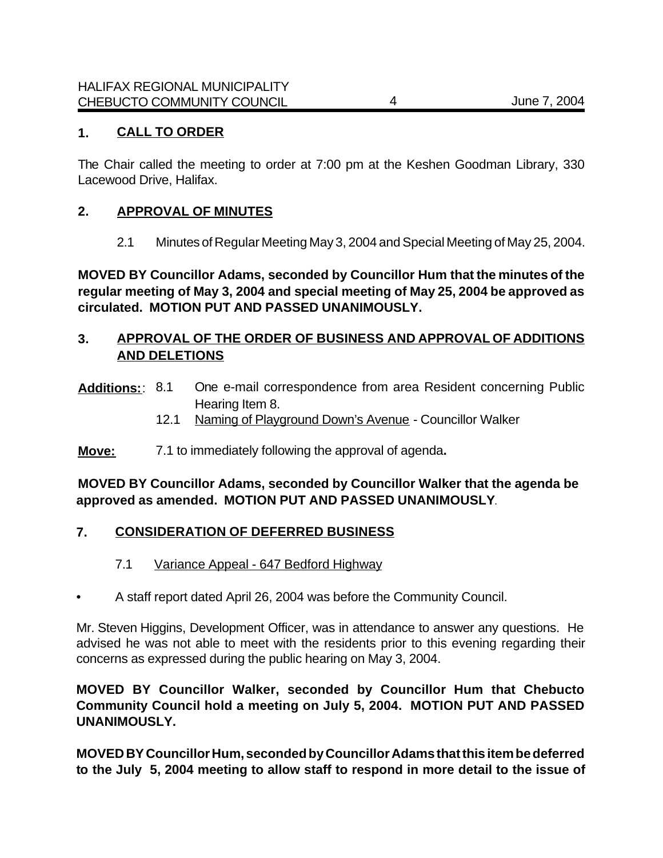## **1. CALL TO ORDER**

The Chair called the meeting to order at 7:00 pm at the Keshen Goodman Library, 330 Lacewood Drive, Halifax.

#### **2. APPROVAL OF MINUTES**

2.1 Minutes of Regular Meeting May 3, 2004 and Special Meeting of May 25, 2004.

**MOVED BY Councillor Adams, seconded by Councillor Hum that the minutes of the regular meeting of May 3, 2004 and special meeting of May 25, 2004 be approved as circulated. MOTION PUT AND PASSED UNANIMOUSLY.**

## **3. APPROVAL OF THE ORDER OF BUSINESS AND APPROVAL OF ADDITIONS AND DELETIONS**

- **Additions:**: 8.1 One e-mail correspondence from area Resident concerning Public Hearing Item 8.
	- 12.1 Naming of Playground Down's Avenue Councillor Walker
- **Move:** 7.1 to immediately following the approval of agenda**.**

## **MOVED BY Councillor Adams, seconded by Councillor Walker that the agenda be approved as amended. MOTION PUT AND PASSED UNANIMOUSLY**.

## **7. CONSIDERATION OF DEFERRED BUSINESS**

- 7.1 Variance Appeal 647 Bedford Highway
- A staff report dated April 26, 2004 was before the Community Council.

Mr. Steven Higgins, Development Officer, was in attendance to answer any questions. He advised he was not able to meet with the residents prior to this evening regarding their concerns as expressed during the public hearing on May 3, 2004.

## **MOVED BY Councillor Walker, seconded by Councillor Hum that Chebucto Community Council hold a meeting on July 5, 2004. MOTION PUT AND PASSED UNANIMOUSLY.**

**MOVED BY Councillor Hum, seconded by Councillor Adams that this item be deferred to the July 5, 2004 meeting to allow staff to respond in more detail to the issue of**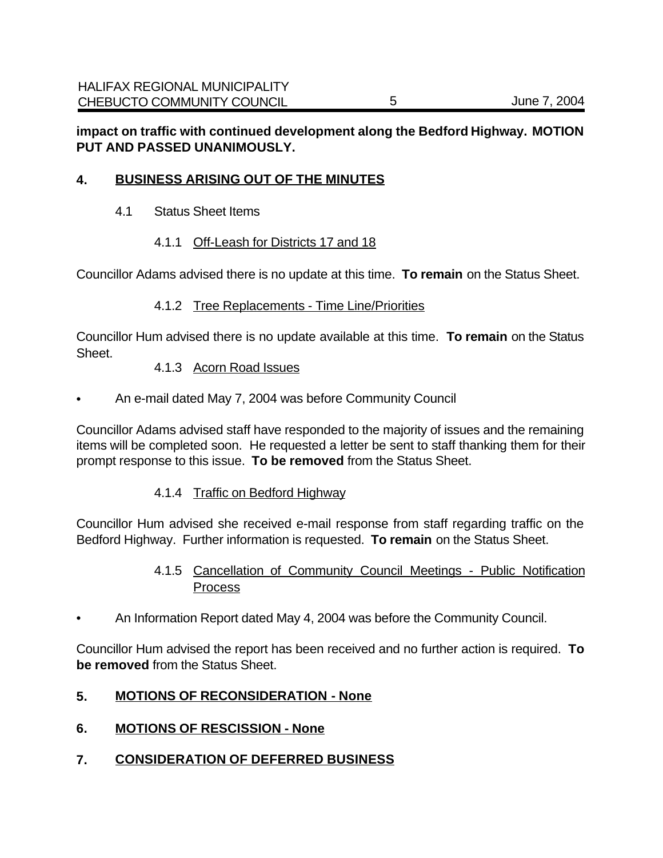## **impact on traffic with continued development along the Bedford Highway. MOTION PUT AND PASSED UNANIMOUSLY.**

## **4. BUSINESS ARISING OUT OF THE MINUTES**

- 4.1 Status Sheet Items
	- 4.1.1 Off-Leash for Districts 17 and 18

Councillor Adams advised there is no update at this time. **To remain** on the Status Sheet.

#### 4.1.2 Tree Replacements - Time Line/Priorities

Councillor Hum advised there is no update available at this time. **To remain** on the Status Sheet.

#### 4.1.3 Acorn Road Issues

• An e-mail dated May 7, 2004 was before Community Council

Councillor Adams advised staff have responded to the majority of issues and the remaining items will be completed soon. He requested a letter be sent to staff thanking them for their prompt response to this issue. **To be removed** from the Status Sheet.

#### 4.1.4 Traffic on Bedford Highway

Councillor Hum advised she received e-mail response from staff regarding traffic on the Bedford Highway. Further information is requested. **To remain** on the Status Sheet.

## 4.1.5 Cancellation of Community Council Meetings - Public Notification **Process**

• An Information Report dated May 4, 2004 was before the Community Council.

Councillor Hum advised the report has been received and no further action is required. **To be removed** from the Status Sheet.

#### **5. MOTIONS OF RECONSIDERATION - None**

- **6. MOTIONS OF RESCISSION None**
- **7. CONSIDERATION OF DEFERRED BUSINESS**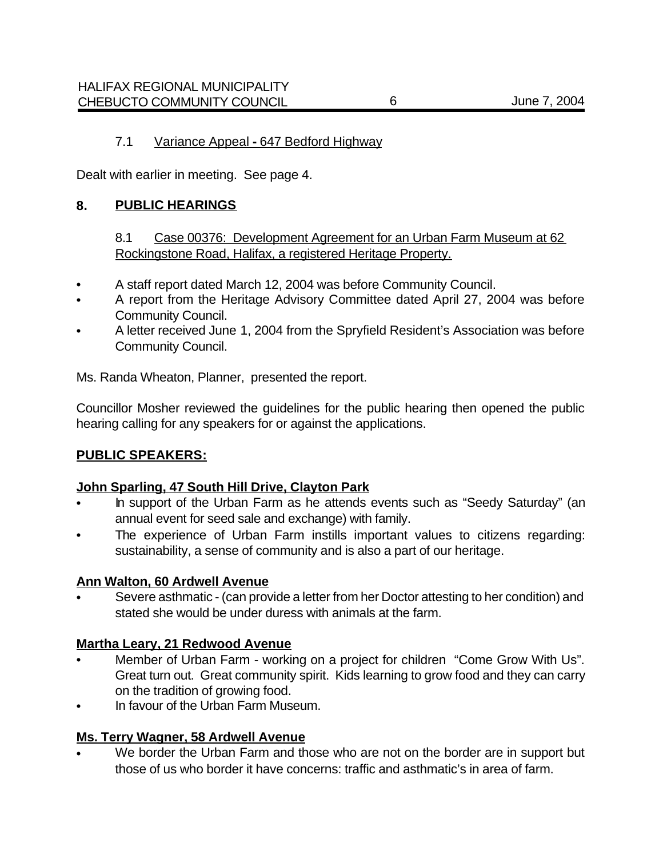Dealt with earlier in meeting. See page 4.

#### **8. PUBLIC HEARINGS**

## 8.1 Case 00376: Development Agreement for an Urban Farm Museum at 62 Rockingstone Road, Halifax, a registered Heritage Property.

- A staff report dated March 12, 2004 was before Community Council.
- A report from the Heritage Advisory Committee dated April 27, 2004 was before Community Council.
- A letter received June 1, 2004 from the Spryfield Resident's Association was before Community Council.

Ms. Randa Wheaton, Planner, presented the report.

Councillor Mosher reviewed the guidelines for the public hearing then opened the public hearing calling for any speakers for or against the applications.

#### **PUBLIC SPEAKERS:**

#### **John Sparling, 47 South Hill Drive, Clayton Park**

- In support of the Urban Farm as he attends events such as "Seedy Saturday" (an annual event for seed sale and exchange) with family.
- The experience of Urban Farm instills important values to citizens regarding: sustainability, a sense of community and is also a part of our heritage.

#### **Ann Walton, 60 Ardwell Avenue**

• Severe asthmatic - (can provide a letter from her Doctor attesting to her condition) and stated she would be under duress with animals at the farm.

#### **Martha Leary, 21 Redwood Avenue**

- Member of Urban Farm working on a project for children "Come Grow With Us". Great turn out. Great community spirit. Kids learning to grow food and they can carry on the tradition of growing food.
- In favour of the Urban Farm Museum.

#### **Ms. Terry Wagner, 58 Ardwell Avenue**

We border the Urban Farm and those who are not on the border are in support but those of us who border it have concerns: traffic and asthmatic's in area of farm.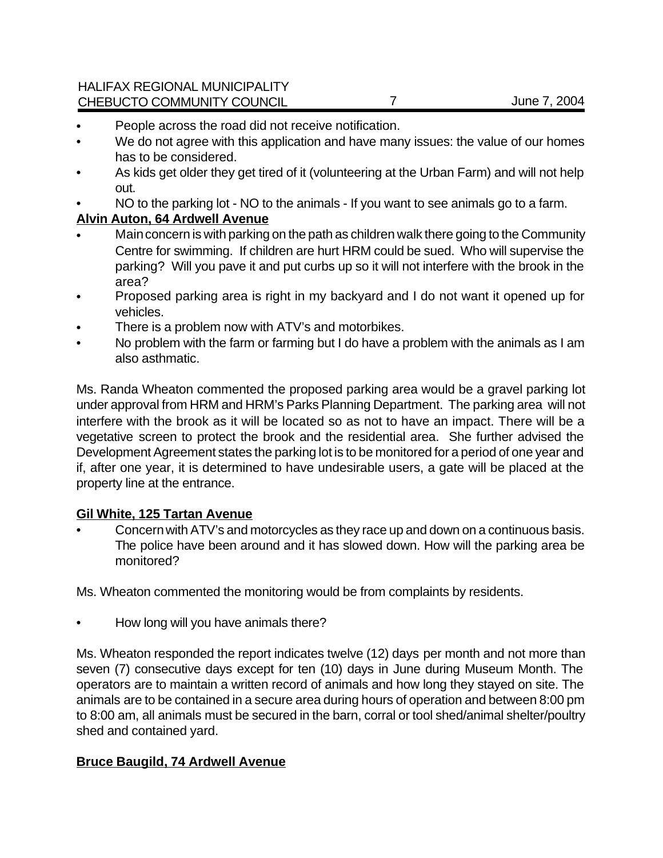HALIFAX REGIONAL MUNICIPALITY CHEBUCTO COMMUNITY COUNCIL 7 7 June 7, 2004

- People across the road did not receive notification.
- We do not agree with this application and have many issues: the value of our homes has to be considered.
- As kids get older they get tired of it (volunteering at the Urban Farm) and will not help out.
- NO to the parking lot NO to the animals If you want to see animals go to a farm.

## **Alvin Auton, 64 Ardwell Avenue**

- Main concern is with parking on the path as children walk there going to the Community Centre for swimming. If children are hurt HRM could be sued. Who will supervise the parking? Will you pave it and put curbs up so it will not interfere with the brook in the area?
- Proposed parking area is right in my backyard and I do not want it opened up for vehicles.
- There is a problem now with ATV's and motorbikes.
- No problem with the farm or farming but I do have a problem with the animals as I am also asthmatic.

Ms. Randa Wheaton commented the proposed parking area would be a gravel parking lot under approval from HRM and HRM's Parks Planning Department. The parking area will not interfere with the brook as it will be located so as not to have an impact. There will be a vegetative screen to protect the brook and the residential area. She further advised the Development Agreement states the parking lot is to be monitored for a period of one year and if, after one year, it is determined to have undesirable users, a gate will be placed at the property line at the entrance.

## **Gil White, 125 Tartan Avenue**

• Concern with ATV's and motorcycles as they race up and down on a continuous basis. The police have been around and it has slowed down. How will the parking area be monitored?

Ms. Wheaton commented the monitoring would be from complaints by residents.

• How long will you have animals there?

Ms. Wheaton responded the report indicates twelve (12) days per month and not more than seven (7) consecutive days except for ten (10) days in June during Museum Month. The operators are to maintain a written record of animals and how long they stayed on site. The animals are to be contained in a secure area during hours of operation and between 8:00 pm to 8:00 am, all animals must be secured in the barn, corral or tool shed/animal shelter/poultry shed and contained yard.

## **Bruce Baugild, 74 Ardwell Avenue**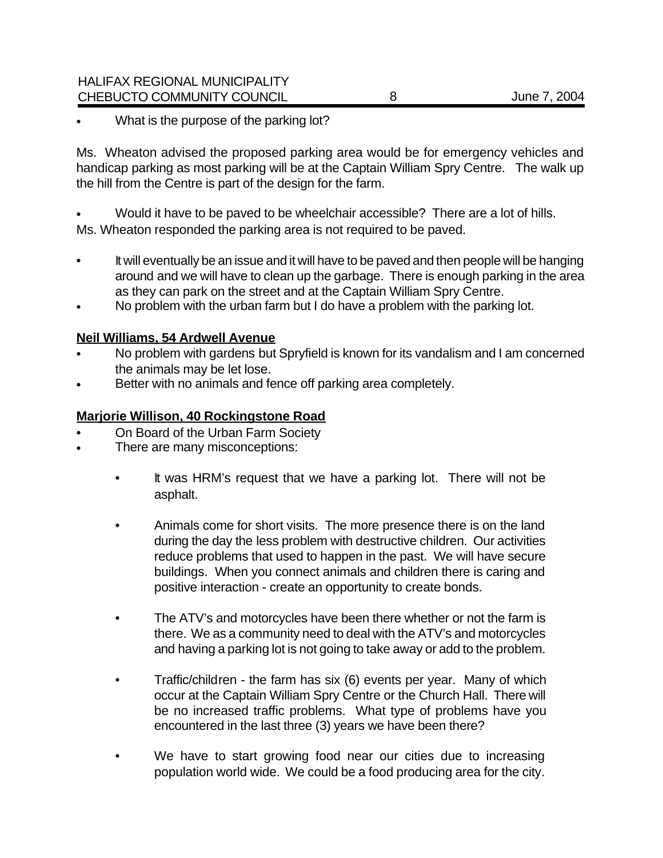What is the purpose of the parking lot?

Ms. Wheaton advised the proposed parking area would be for emergency vehicles and handicap parking as most parking will be at the Captain William Spry Centre. The walk up the hill from the Centre is part of the design for the farm.

• Would it have to be paved to be wheelchair accessible? There are a lot of hills. Ms. Wheaton responded the parking area is not required to be paved.

- It will eventually be an issue and it will have to be paved and then people will be hanging around and we will have to clean up the garbage. There is enough parking in the area as they can park on the street and at the Captain William Spry Centre.
- No problem with the urban farm but I do have a problem with the parking lot.

#### **Neil Williams, 54 Ardwell Avenue**

- No problem with gardens but Spryfield is known for its vandalism and I am concerned the animals may be let lose.
- Better with no animals and fence off parking area completely.

#### **Marjorie Willison, 40 Rockingstone Road**

- On Board of the Urban Farm Society
- There are many misconceptions:
	- It was HRM's request that we have a parking lot. There will not be asphalt.
	- Animals come for short visits. The more presence there is on the land during the day the less problem with destructive children. Our activities reduce problems that used to happen in the past. We will have secure buildings. When you connect animals and children there is caring and positive interaction - create an opportunity to create bonds.
	- The ATV's and motorcycles have been there whether or not the farm is there. We as a community need to deal with the ATV's and motorcycles and having a parking lot is not going to take away or add to the problem.
	- Traffic/children the farm has six (6) events per year. Many of which occur at the Captain William Spry Centre or the Church Hall. There will be no increased traffic problems. What type of problems have you encountered in the last three (3) years we have been there?
	- We have to start growing food near our cities due to increasing population world wide. We could be a food producing area for the city.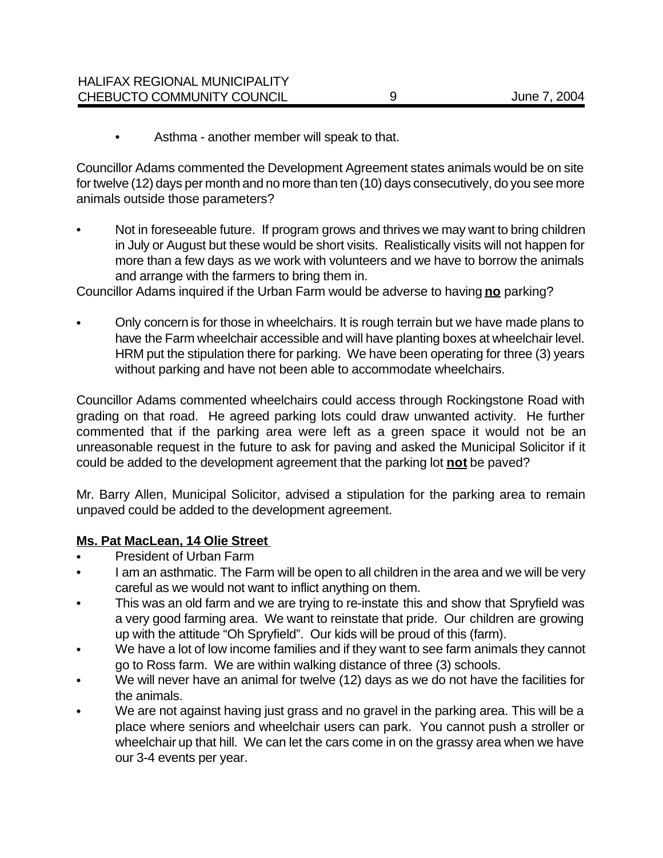• Asthma - another member will speak to that.

Councillor Adams commented the Development Agreement states animals would be on site for twelve (12) days per month and no more than ten (10) days consecutively, do you see more animals outside those parameters?

• Not in foreseeable future. If program grows and thrives we may want to bring children in July or August but these would be short visits. Realistically visits will not happen for more than a few days as we work with volunteers and we have to borrow the animals and arrange with the farmers to bring them in.

Councillor Adams inquired if the Urban Farm would be adverse to having **no** parking?

• Only concern is for those in wheelchairs. It is rough terrain but we have made plans to have the Farm wheelchair accessible and will have planting boxes at wheelchair level. HRM put the stipulation there for parking. We have been operating for three (3) years without parking and have not been able to accommodate wheelchairs.

Councillor Adams commented wheelchairs could access through Rockingstone Road with grading on that road. He agreed parking lots could draw unwanted activity. He further commented that if the parking area were left as a green space it would not be an unreasonable request in the future to ask for paving and asked the Municipal Solicitor if it could be added to the development agreement that the parking lot **not** be paved?

Mr. Barry Allen, Municipal Solicitor, advised a stipulation for the parking area to remain unpaved could be added to the development agreement.

## **Ms. Pat MacLean, 14 Olie Street**

- President of Urban Farm
- I am an asthmatic. The Farm will be open to all children in the area and we will be very careful as we would not want to inflict anything on them.
- This was an old farm and we are trying to re-instate this and show that Spryfield was a very good farming area. We want to reinstate that pride. Our children are growing up with the attitude "Oh Spryfield". Our kids will be proud of this (farm).
- We have a lot of low income families and if they want to see farm animals they cannot go to Ross farm. We are within walking distance of three (3) schools.
- We will never have an animal for twelve (12) days as we do not have the facilities for the animals.
- We are not against having just grass and no gravel in the parking area. This will be a place where seniors and wheelchair users can park. You cannot push a stroller or wheelchair up that hill. We can let the cars come in on the grassy area when we have our 3-4 events per year.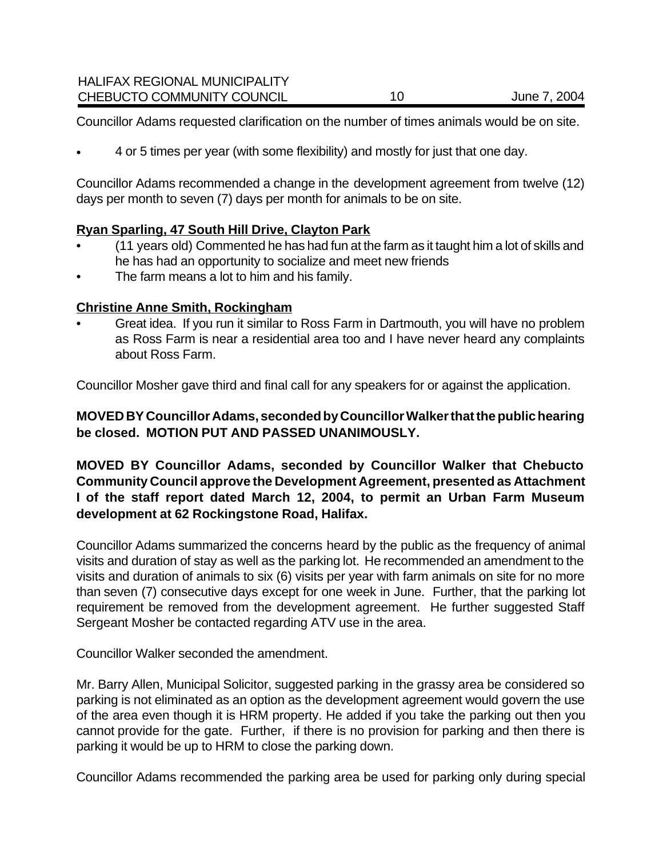Councillor Adams requested clarification on the number of times animals would be on site.

• 4 or 5 times per year (with some flexibility) and mostly for just that one day.

Councillor Adams recommended a change in the development agreement from twelve (12) days per month to seven (7) days per month for animals to be on site.

## **Ryan Sparling, 47 South Hill Drive, Clayton Park**

- (11 years old) Commented he has had fun at the farm as it taught him a lot of skills and he has had an opportunity to socialize and meet new friends
- The farm means a lot to him and his family.

## **Christine Anne Smith, Rockingham**

• Great idea. If you run it similar to Ross Farm in Dartmouth, you will have no problem as Ross Farm is near a residential area too and I have never heard any complaints about Ross Farm.

Councillor Mosher gave third and final call for any speakers for or against the application.

**MOVED BY Councillor Adams, seconded by Councillor Walker that the public hearing be closed. MOTION PUT AND PASSED UNANIMOUSLY.**

**MOVED BY Councillor Adams, seconded by Councillor Walker that Chebucto Community Council approve the Development Agreement, presented as Attachment I of the staff report dated March 12, 2004, to permit an Urban Farm Museum development at 62 Rockingstone Road, Halifax.** 

Councillor Adams summarized the concerns heard by the public as the frequency of animal visits and duration of stay as well as the parking lot. He recommended an amendment to the visits and duration of animals to six (6) visits per year with farm animals on site for no more than seven (7) consecutive days except for one week in June. Further, that the parking lot requirement be removed from the development agreement. He further suggested Staff Sergeant Mosher be contacted regarding ATV use in the area.

Councillor Walker seconded the amendment.

Mr. Barry Allen, Municipal Solicitor, suggested parking in the grassy area be considered so parking is not eliminated as an option as the development agreement would govern the use of the area even though it is HRM property. He added if you take the parking out then you cannot provide for the gate. Further, if there is no provision for parking and then there is parking it would be up to HRM to close the parking down.

Councillor Adams recommended the parking area be used for parking only during special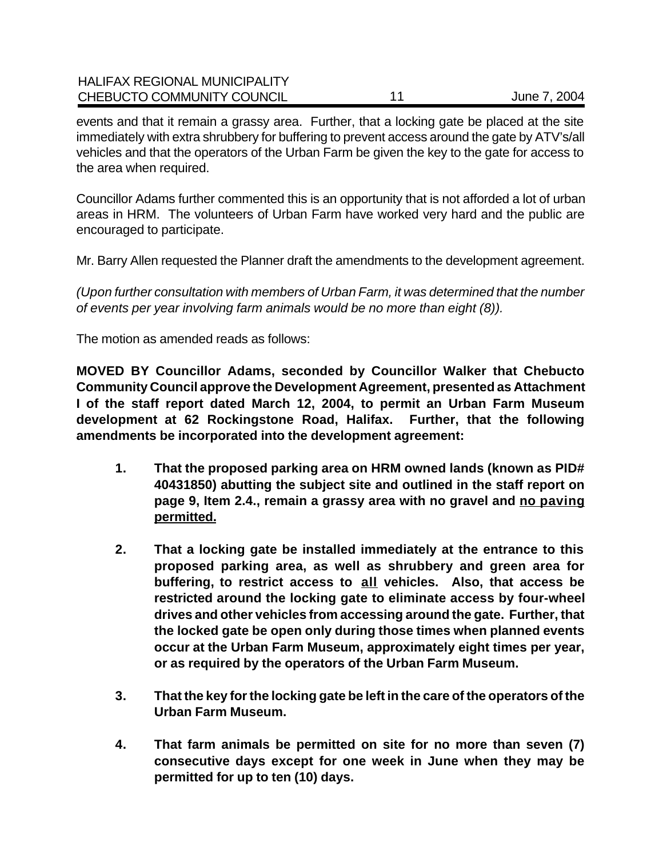| <b>HALIFAX REGIONAL MUNICIPALITY</b> |              |
|--------------------------------------|--------------|
| CHEBUCTO COMMUNITY COUNCIL           | June 7, 2004 |

events and that it remain a grassy area. Further, that a locking gate be placed at the site immediately with extra shrubbery for buffering to prevent access around the gate by ATV's/all vehicles and that the operators of the Urban Farm be given the key to the gate for access to the area when required.

Councillor Adams further commented this is an opportunity that is not afforded a lot of urban areas in HRM. The volunteers of Urban Farm have worked very hard and the public are encouraged to participate.

Mr. Barry Allen requested the Planner draft the amendments to the development agreement.

*(Upon further consultation with members of Urban Farm, it was determined that the number of events per year involving farm animals would be no more than eight (8)).*

The motion as amended reads as follows:

**MOVED BY Councillor Adams, seconded by Councillor Walker that Chebucto Community Council approve the Development Agreement, presented as Attachment I of the staff report dated March 12, 2004, to permit an Urban Farm Museum development at 62 Rockingstone Road, Halifax. Further, that the following amendments be incorporated into the development agreement:**

- **1. That the proposed parking area on HRM owned lands (known as PID# 40431850) abutting the subject site and outlined in the staff report on page 9, Item 2.4., remain a grassy area with no gravel and no paving permitted.**
- **2. That a locking gate be installed immediately at the entrance to this proposed parking area, as well as shrubbery and green area for buffering, to restrict access to all vehicles. Also, that access be restricted around the locking gate to eliminate access by four-wheel drives and other vehicles from accessing around the gate. Further, that the locked gate be open only during those times when planned events occur at the Urban Farm Museum, approximately eight times per year, or as required by the operators of the Urban Farm Museum.**
- **3. That the key for the locking gate be left in the care of the operators of the Urban Farm Museum.**
- **4. That farm animals be permitted on site for no more than seven (7) consecutive days except for one week in June when they may be permitted for up to ten (10) days.**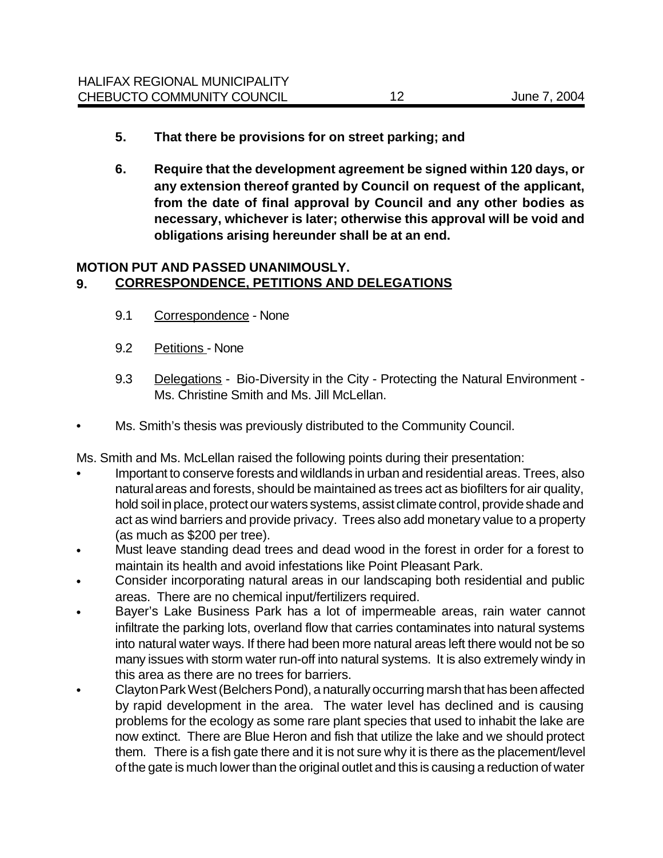- **5. That there be provisions for on street parking; and**
- **6. Require that the development agreement be signed within 120 days, or any extension thereof granted by Council on request of the applicant, from the date of final approval by Council and any other bodies as necessary, whichever is later; otherwise this approval will be void and obligations arising hereunder shall be at an end.**

#### **MOTION PUT AND PASSED UNANIMOUSLY. 9. CORRESPONDENCE, PETITIONS AND DELEGATIONS**

- 9.1 Correspondence None
- 9.2 Petitions None
- 9.3 Delegations Bio-Diversity in the City Protecting the Natural Environment -Ms. Christine Smith and Ms. Jill McLellan.
- Ms. Smith's thesis was previously distributed to the Community Council.

Ms. Smith and Ms. McLellan raised the following points during their presentation:

- Important to conserve forests and wildlands in urban and residential areas. Trees, also natural areas and forests, should be maintained as trees act as biofilters for air quality, hold soil in place, protect our waters systems, assist climate control, provide shade and act as wind barriers and provide privacy. Trees also add monetary value to a property (as much as \$200 per tree).
- Must leave standing dead trees and dead wood in the forest in order for a forest to maintain its health and avoid infestations like Point Pleasant Park.
- Consider incorporating natural areas in our landscaping both residential and public areas. There are no chemical input/fertilizers required.
- Bayer's Lake Business Park has a lot of impermeable areas, rain water cannot infiltrate the parking lots, overland flow that carries contaminates into natural systems into natural water ways. If there had been more natural areas left there would not be so many issues with storm water run-off into natural systems. It is also extremely windy in this area as there are no trees for barriers.
- Clayton Park West (Belchers Pond), a naturally occurring marsh that has been affected by rapid development in the area. The water level has declined and is causing problems for the ecology as some rare plant species that used to inhabit the lake are now extinct. There are Blue Heron and fish that utilize the lake and we should protect them. There is a fish gate there and it is not sure why it is there as the placement/level of the gate is much lower than the original outlet and this is causing a reduction of water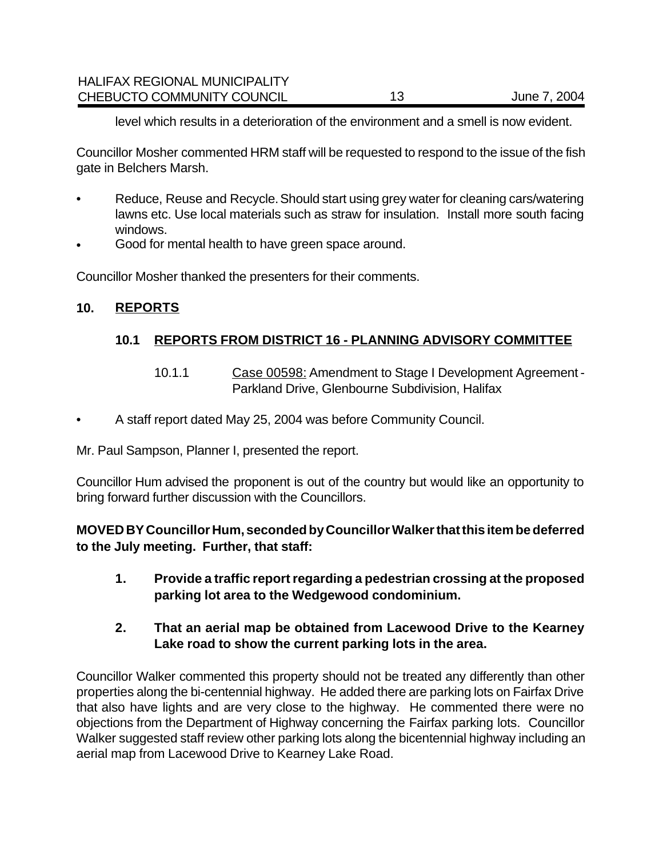level which results in a deterioration of the environment and a smell is now evident.

Councillor Mosher commented HRM staff will be requested to respond to the issue of the fish gate in Belchers Marsh.

- Reduce, Reuse and Recycle. Should start using grey water for cleaning cars/watering lawns etc. Use local materials such as straw for insulation. Install more south facing windows.
- Good for mental health to have green space around.

Councillor Mosher thanked the presenters for their comments.

## **10. REPORTS**

## **10.1 REPORTS FROM DISTRICT 16 - PLANNING ADVISORY COMMITTEE**

- 10.1.1 Case 00598: Amendment to Stage I Development Agreement Parkland Drive, Glenbourne Subdivision, Halifax
- A staff report dated May 25, 2004 was before Community Council.

Mr. Paul Sampson, Planner I, presented the report.

Councillor Hum advised the proponent is out of the country but would like an opportunity to bring forward further discussion with the Councillors.

**MOVED BY Councillor Hum, seconded by Councillor Walker that this item be deferred to the July meeting. Further, that staff:**

- **1. Provide a traffic report regarding a pedestrian crossing at the proposed parking lot area to the Wedgewood condominium.**
- **2. That an aerial map be obtained from Lacewood Drive to the Kearney Lake road to show the current parking lots in the area.**

Councillor Walker commented this property should not be treated any differently than other properties along the bi-centennial highway. He added there are parking lots on Fairfax Drive that also have lights and are very close to the highway. He commented there were no objections from the Department of Highway concerning the Fairfax parking lots. Councillor Walker suggested staff review other parking lots along the bicentennial highway including an aerial map from Lacewood Drive to Kearney Lake Road.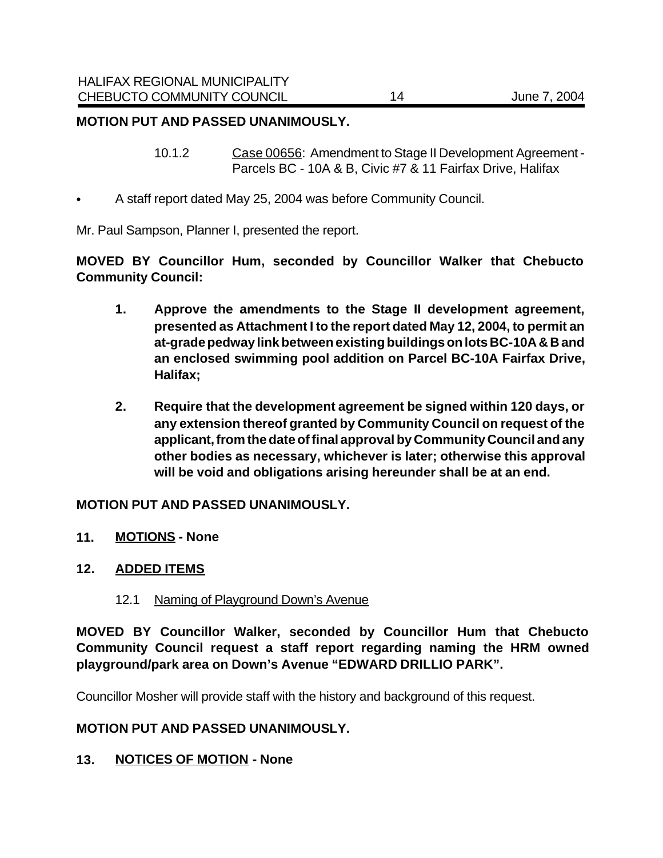#### **MOTION PUT AND PASSED UNANIMOUSLY.**

- 10.1.2 Case 00656: Amendment to Stage II Development Agreement Parcels BC - 10A & B, Civic #7 & 11 Fairfax Drive, Halifax
- A staff report dated May 25, 2004 was before Community Council.

Mr. Paul Sampson, Planner I, presented the report.

**MOVED BY Councillor Hum, seconded by Councillor Walker that Chebucto Community Council:**

- **1. Approve the amendments to the Stage II development agreement, presented as Attachment I to the report dated May 12, 2004, to permit an at-grade pedway link between existing buildings on lots BC-10A & B and an enclosed swimming pool addition on Parcel BC-10A Fairfax Drive, Halifax;**
- **2. Require that the development agreement be signed within 120 days, or any extension thereof granted by Community Council on request of the applicant, from the date of final approval by Community Council and any other bodies as necessary, whichever is later; otherwise this approval will be void and obligations arising hereunder shall be at an end.**

#### **MOTION PUT AND PASSED UNANIMOUSLY.**

**11. MOTIONS - None**

#### **12. ADDED ITEMS**

12.1 Naming of Playground Down's Avenue

**MOVED BY Councillor Walker, seconded by Councillor Hum that Chebucto Community Council request a staff report regarding naming the HRM owned playground/park area on Down's Avenue "EDWARD DRILLIO PARK".**

Councillor Mosher will provide staff with the history and background of this request.

#### **MOTION PUT AND PASSED UNANIMOUSLY.**

**13. NOTICES OF MOTION - None**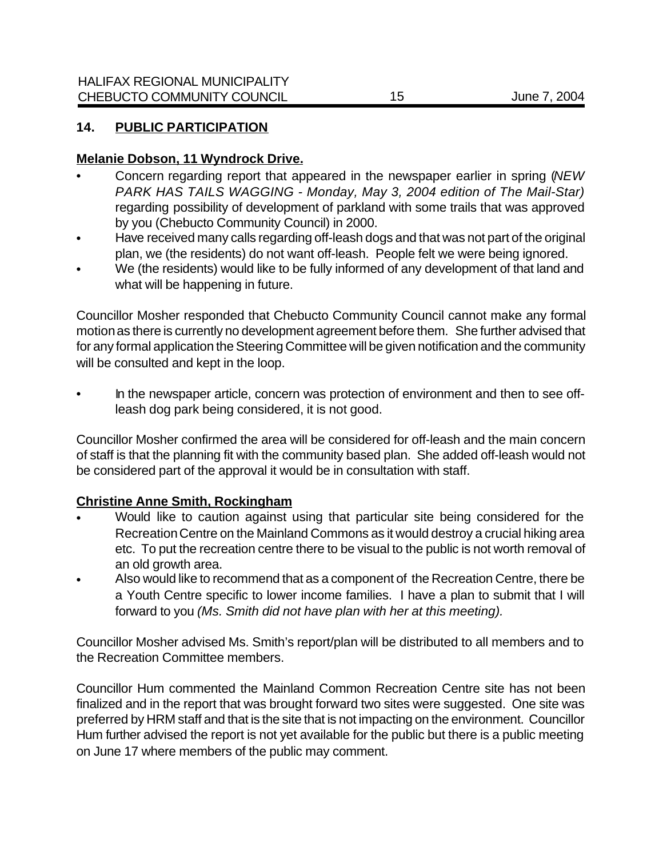## **14. PUBLIC PARTICIPATION**

## **Melanie Dobson, 11 Wyndrock Drive.**

- Concern regarding report that appeared in the newspaper earlier in spring (*NEW PARK HAS TAILS WAGGING - Monday, May 3, 2004 edition of The Mail-Star)* regarding possibility of development of parkland with some trails that was approved by you (Chebucto Community Council) in 2000.
- Have received many calls regarding off-leash dogs and that was not part of the original plan, we (the residents) do not want off-leash. People felt we were being ignored.
- We (the residents) would like to be fully informed of any development of that land and what will be happening in future.

Councillor Mosher responded that Chebucto Community Council cannot make any formal motion as there is currently no development agreement before them. She further advised that for any formal application the Steering Committee will be given notification and the community will be consulted and kept in the loop.

• In the newspaper article, concern was protection of environment and then to see offleash dog park being considered, it is not good.

Councillor Mosher confirmed the area will be considered for off-leash and the main concern of staff is that the planning fit with the community based plan. She added off-leash would not be considered part of the approval it would be in consultation with staff.

#### **Christine Anne Smith, Rockingham**

- Would like to caution against using that particular site being considered for the Recreation Centre on the Mainland Commons as it would destroy a crucial hiking area etc. To put the recreation centre there to be visual to the public is not worth removal of an old growth area.
- Also would like to recommend that as a component of the Recreation Centre, there be a Youth Centre specific to lower income families. I have a plan to submit that I will forward to you *(Ms. Smith did not have plan with her at this meeting).*

Councillor Mosher advised Ms. Smith's report/plan will be distributed to all members and to the Recreation Committee members.

Councillor Hum commented the Mainland Common Recreation Centre site has not been finalized and in the report that was brought forward two sites were suggested. One site was preferred by HRM staff and that is the site that is not impacting on the environment. Councillor Hum further advised the report is not yet available for the public but there is a public meeting on June 17 where members of the public may comment.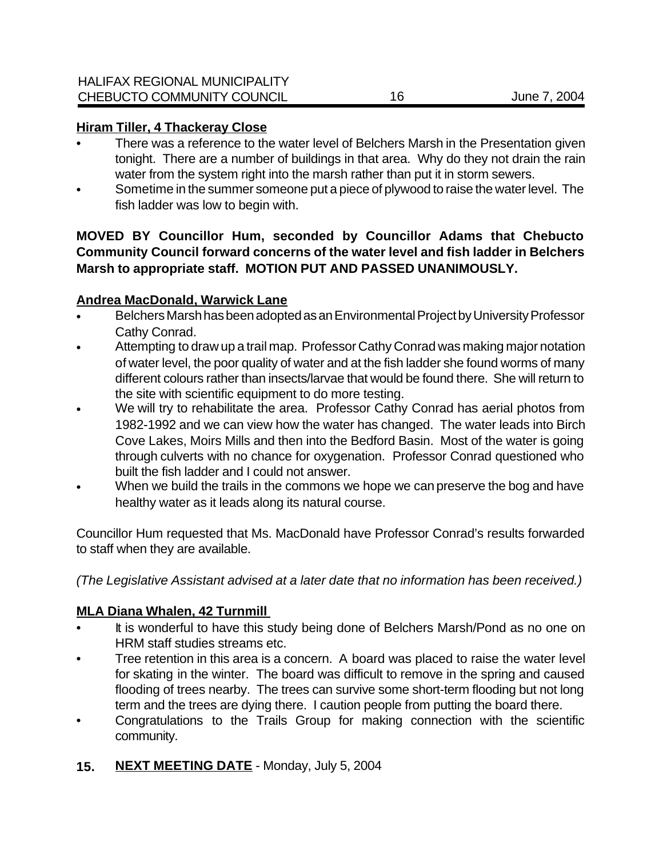#### **Hiram Tiller, 4 Thackeray Close**

- There was a reference to the water level of Belchers Marsh in the Presentation given tonight. There are a number of buildings in that area. Why do they not drain the rain water from the system right into the marsh rather than put it in storm sewers.
- Sometime in the summer someone put a piece of plywood to raise the water level. The fish ladder was low to begin with.

## **MOVED BY Councillor Hum, seconded by Councillor Adams that Chebucto Community Council forward concerns of the water level and fish ladder in Belchers Marsh to appropriate staff. MOTION PUT AND PASSED UNANIMOUSLY.**

## **Andrea MacDonald, Warwick Lane**

- Belchers Marsh has been adopted as an Environmental Project by University Professor Cathy Conrad.
- Attempting to draw up a trail map. Professor Cathy Conrad was making major notation of water level, the poor quality of water and at the fish ladder she found worms of many different colours rather than insects/larvae that would be found there. She will return to the site with scientific equipment to do more testing.
- We will try to rehabilitate the area. Professor Cathy Conrad has aerial photos from 1982-1992 and we can view how the water has changed. The water leads into Birch Cove Lakes, Moirs Mills and then into the Bedford Basin. Most of the water is going through culverts with no chance for oxygenation. Professor Conrad questioned who built the fish ladder and I could not answer.
- When we build the trails in the commons we hope we can preserve the bog and have healthy water as it leads along its natural course.

Councillor Hum requested that Ms. MacDonald have Professor Conrad's results forwarded to staff when they are available.

*(The Legislative Assistant advised at a later date that no information has been received.)*

#### **MLA Diana Whalen, 42 Turnmill**

- It is wonderful to have this study being done of Belchers Marsh/Pond as no one on HRM staff studies streams etc.
- Tree retention in this area is a concern. A board was placed to raise the water level for skating in the winter. The board was difficult to remove in the spring and caused flooding of trees nearby. The trees can survive some short-term flooding but not long term and the trees are dying there. I caution people from putting the board there.
- Congratulations to the Trails Group for making connection with the scientific community.
- **15. NEXT MEETING DATE** Monday, July 5, 2004